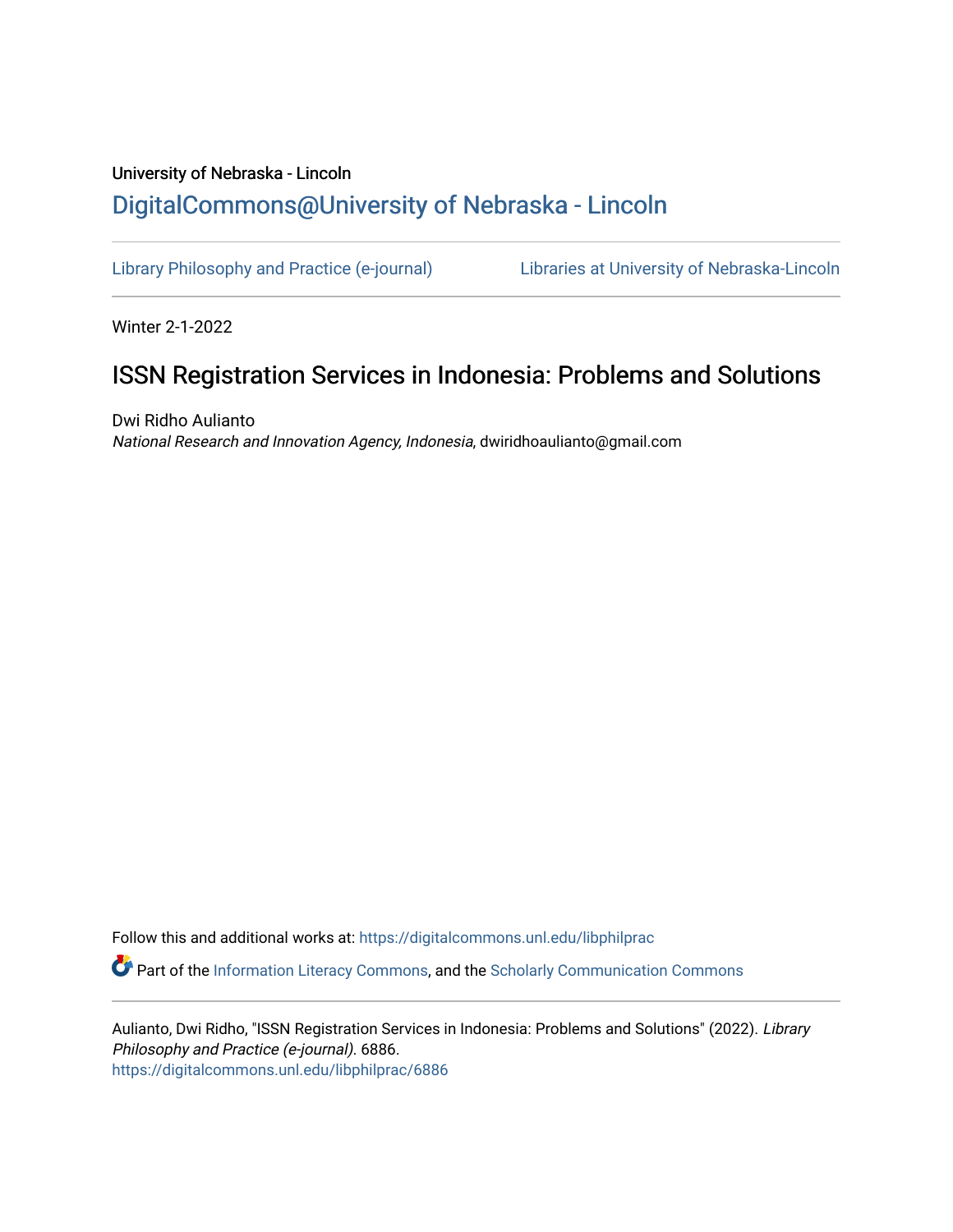## University of Nebraska - Lincoln [DigitalCommons@University of Nebraska - Lincoln](https://digitalcommons.unl.edu/)

[Library Philosophy and Practice \(e-journal\)](https://digitalcommons.unl.edu/libphilprac) [Libraries at University of Nebraska-Lincoln](https://digitalcommons.unl.edu/libraries) 

Winter 2-1-2022

# ISSN Registration Services in Indonesia: Problems and Solutions

Dwi Ridho Aulianto National Research and Innovation Agency, Indonesia, dwiridhoaulianto@gmail.com

Follow this and additional works at: [https://digitalcommons.unl.edu/libphilprac](https://digitalcommons.unl.edu/libphilprac?utm_source=digitalcommons.unl.edu%2Flibphilprac%2F6886&utm_medium=PDF&utm_campaign=PDFCoverPages)  **C** Part of the [Information Literacy Commons](http://network.bepress.com/hgg/discipline/1243?utm_source=digitalcommons.unl.edu%2Flibphilprac%2F6886&utm_medium=PDF&utm_campaign=PDFCoverPages), and the Scholarly Communication Commons

Aulianto, Dwi Ridho, "ISSN Registration Services in Indonesia: Problems and Solutions" (2022). Library Philosophy and Practice (e-journal). 6886. [https://digitalcommons.unl.edu/libphilprac/6886](https://digitalcommons.unl.edu/libphilprac/6886?utm_source=digitalcommons.unl.edu%2Flibphilprac%2F6886&utm_medium=PDF&utm_campaign=PDFCoverPages)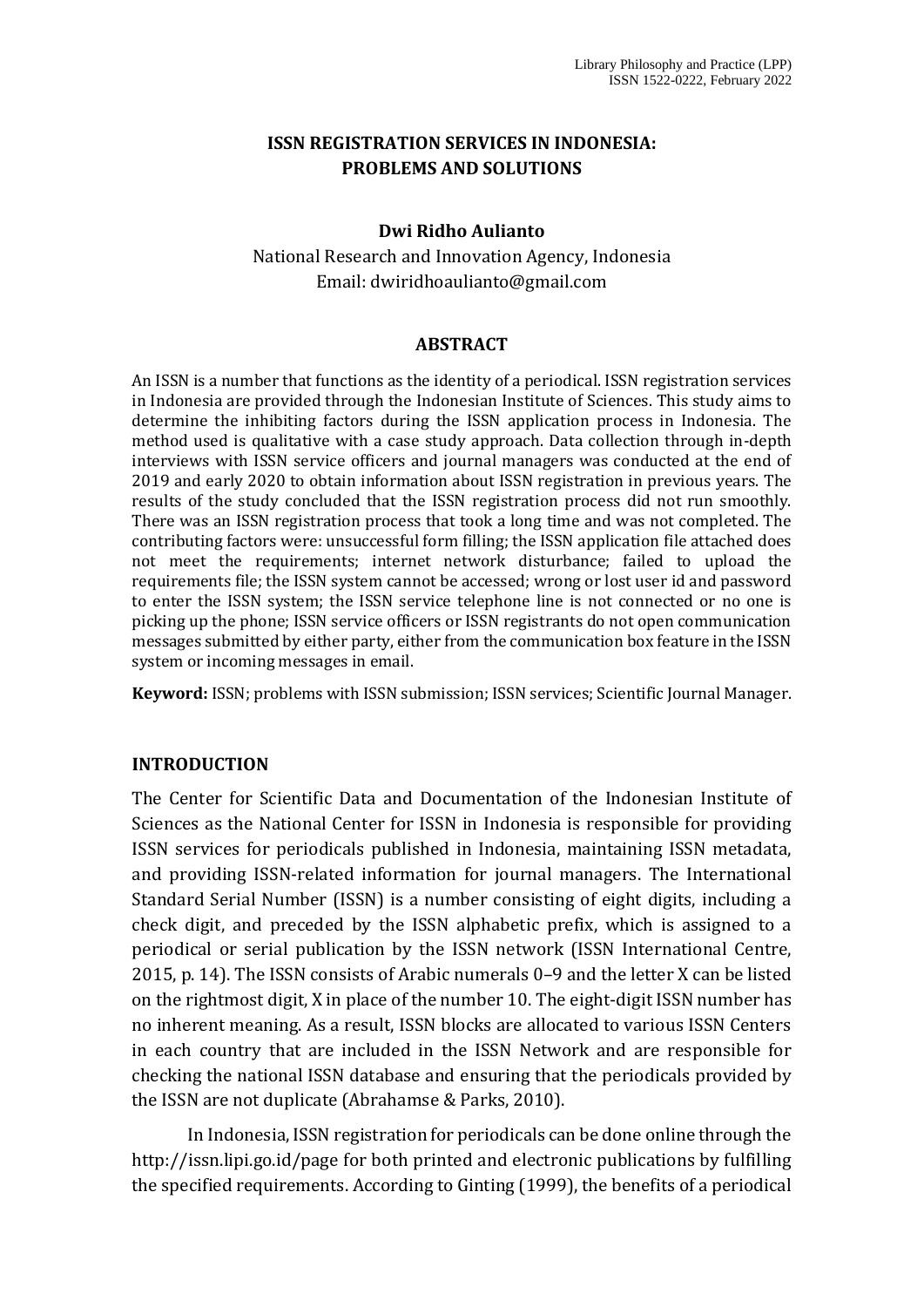### **ISSN REGISTRATION SERVICES IN INDONESIA: PROBLEMS AND SOLUTIONS**

#### **Dwi Ridho Aulianto**

National Research and Innovation Agency, Indonesia Email: [dwiridhoaulianto@gmail.com](mailto:dwiridhoaulianto@gmail.com)

#### **ABSTRACT**

An ISSN is a number that functions as the identity of a periodical. ISSN registration services in Indonesia are provided through the Indonesian Institute of Sciences. This study aims to determine the inhibiting factors during the ISSN application process in Indonesia. The method used is qualitative with a case study approach. Data collection through in-depth interviews with ISSN service officers and journal managers was conducted at the end of 2019 and early 2020 to obtain information about ISSN registration in previous years. The results of the study concluded that the ISSN registration process did not run smoothly. There was an ISSN registration process that took a long time and was not completed. The contributing factors were: unsuccessful form filling; the ISSN application file attached does not meet the requirements; internet network disturbance; failed to upload the requirements file; the ISSN system cannot be accessed; wrong or lost user id and password to enter the ISSN system; the ISSN service telephone line is not connected or no one is picking up the phone; ISSN service officers or ISSN registrants do not open communication messages submitted by either party, either from the communication box feature in the ISSN system or incoming messages in email.

**Keyword:** ISSN; problems with ISSN submission; ISSN services; Scientific Journal Manager.

#### **INTRODUCTION**

The Center for Scientific Data and Documentation of the Indonesian Institute of Sciences as the National Center for ISSN in Indonesia is responsible for providing ISSN services for periodicals published in Indonesia, maintaining ISSN metadata, and providing ISSN-related information for journal managers. The International Standard Serial Number (ISSN) is a number consisting of eight digits, including a check digit, and preceded by the ISSN alphabetic prefix, which is assigned to a periodical or serial publication by the ISSN network (ISSN International Centre, 2015, p. 14). The ISSN consists of Arabic numerals 0–9 and the letter X can be listed on the rightmost digit, X in place of the number 10. The eight-digit ISSN number has no inherent meaning. As a result, ISSN blocks are allocated to various ISSN Centers in each country that are included in the ISSN Network and are responsible for checking the national ISSN database and ensuring that the periodicals provided by the ISSN are not duplicate (Abrahamse & Parks, 2010).

In Indonesia, ISSN registration for periodicals can be done online through the http://issn.lipi.go.id/page for both printed and electronic publications by fulfilling the specified requirements. According to Ginting (1999), the benefits of a periodical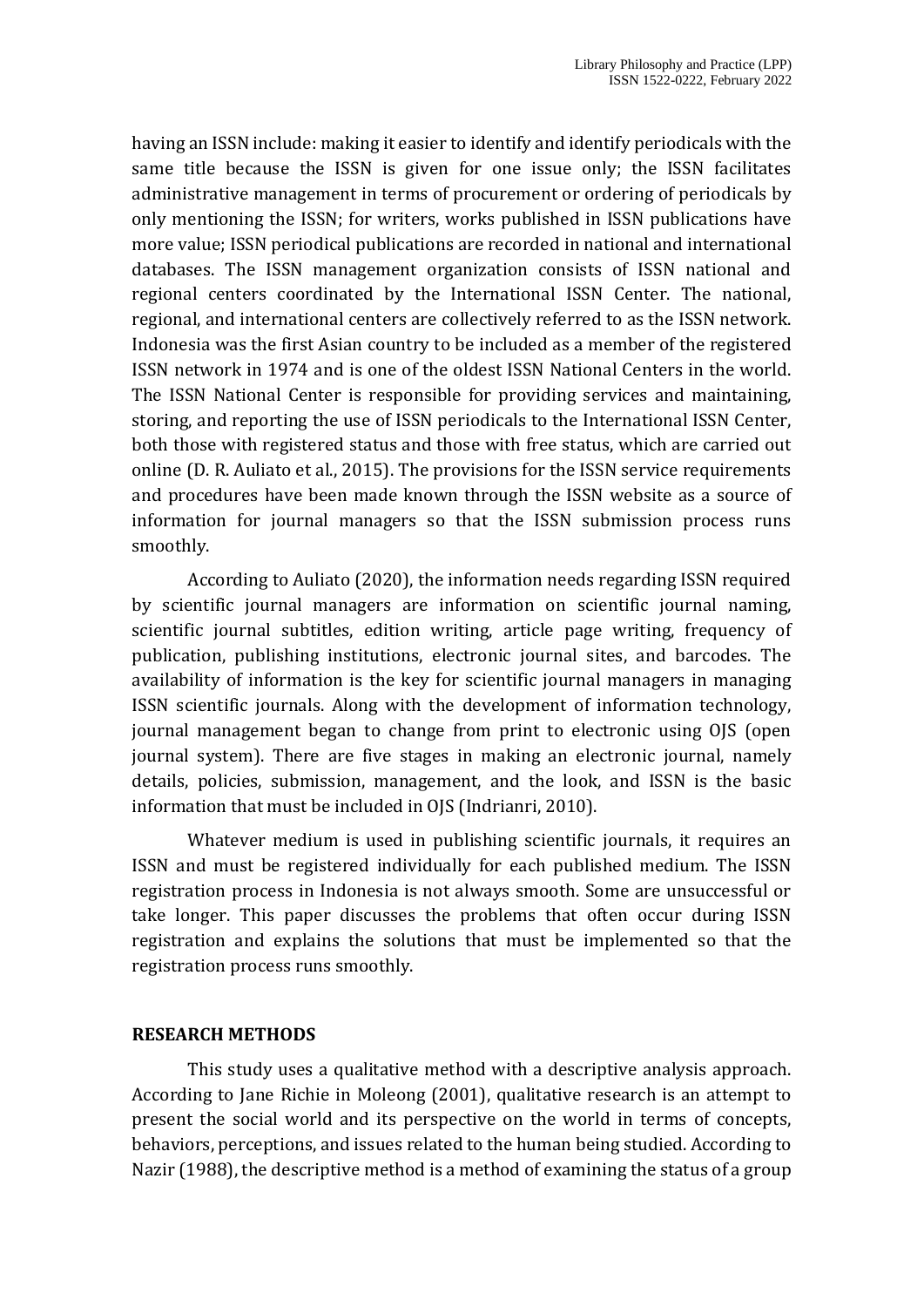having an ISSN include: making it easier to identify and identify periodicals with the same title because the ISSN is given for one issue only; the ISSN facilitates administrative management in terms of procurement or ordering of periodicals by only mentioning the ISSN; for writers, works published in ISSN publications have more value; ISSN periodical publications are recorded in national and international databases. The ISSN management organization consists of ISSN national and regional centers coordinated by the International ISSN Center. The national, regional, and international centers are collectively referred to as the ISSN network. Indonesia was the first Asian country to be included as a member of the registered ISSN network in 1974 and is one of the oldest ISSN National Centers in the world. The ISSN National Center is responsible for providing services and maintaining, storing, and reporting the use of ISSN periodicals to the International ISSN Center, both those with registered status and those with free status, which are carried out online (D. R. Auliato et al., 2015). The provisions for the ISSN service requirements and procedures have been made known through the ISSN website as a source of information for journal managers so that the ISSN submission process runs smoothly.

According to Auliato (2020), the information needs regarding ISSN required by scientific journal managers are information on scientific journal naming, scientific journal subtitles, edition writing, article page writing, frequency of publication, publishing institutions, electronic journal sites, and barcodes. The availability of information is the key for scientific journal managers in managing ISSN scientific journals. Along with the development of information technology, journal management began to change from print to electronic using OJS (open journal system). There are five stages in making an electronic journal, namely details, policies, submission, management, and the look, and ISSN is the basic information that must be included in OJS (Indrianri, 2010).

Whatever medium is used in publishing scientific journals, it requires an ISSN and must be registered individually for each published medium. The ISSN registration process in Indonesia is not always smooth. Some are unsuccessful or take longer. This paper discusses the problems that often occur during ISSN registration and explains the solutions that must be implemented so that the registration process runs smoothly.

#### **RESEARCH METHODS**

This study uses a qualitative method with a descriptive analysis approach. According to Jane Richie in Moleong (2001), qualitative research is an attempt to present the social world and its perspective on the world in terms of concepts, behaviors, perceptions, and issues related to the human being studied. According to Nazir (1988), the descriptive method is a method of examining the status of a group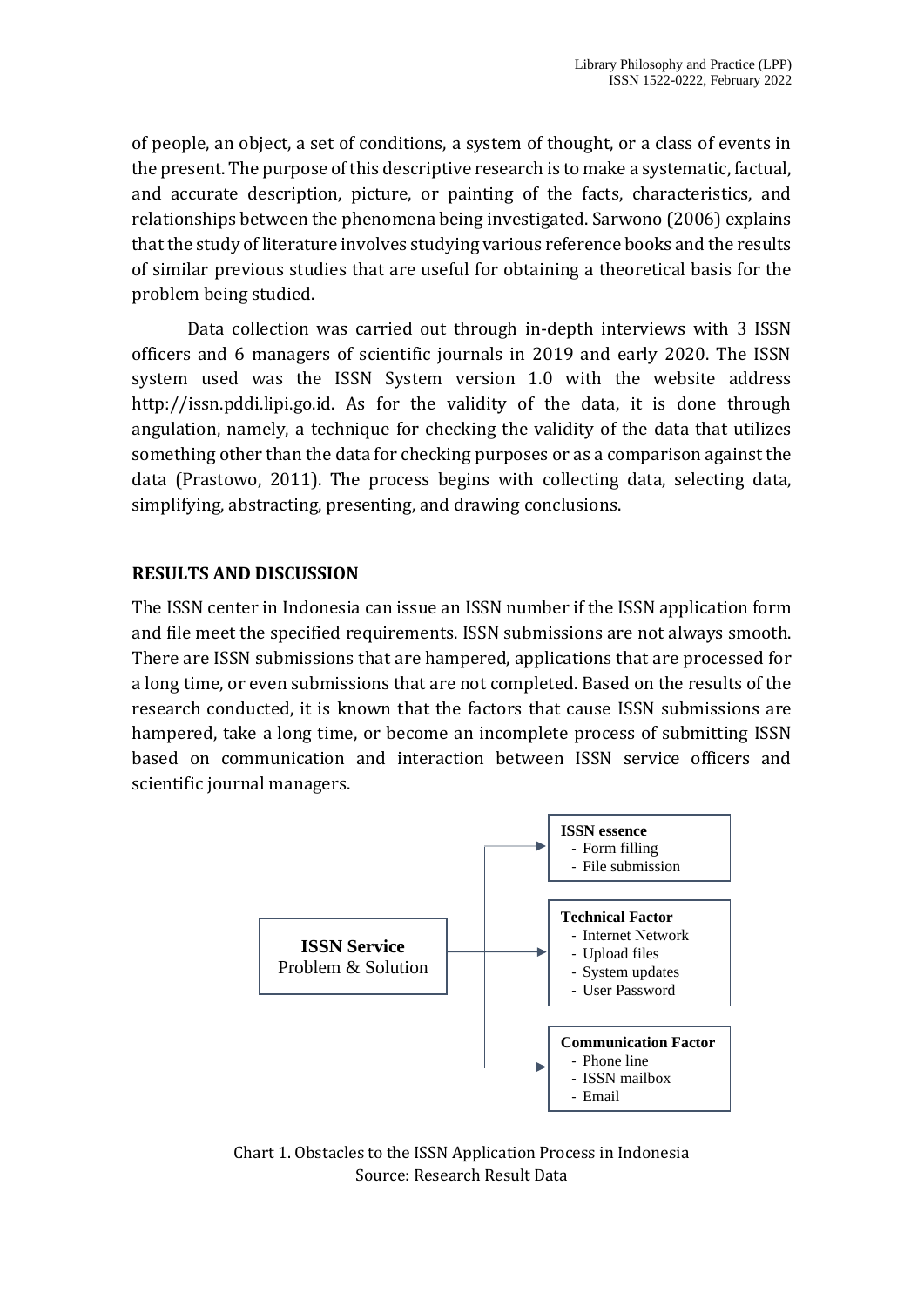of people, an object, a set of conditions, a system of thought, or a class of events in the present. The purpose of this descriptive research is to make a systematic, factual, and accurate description, picture, or painting of the facts, characteristics, and relationships between the phenomena being investigated. Sarwono (2006) explains that the study of literature involves studying various reference books and the results of similar previous studies that are useful for obtaining a theoretical basis for the problem being studied.

Data collection was carried out through in-depth interviews with 3 ISSN officers and 6 managers of scientific journals in 2019 and early 2020. The ISSN system used was the ISSN System version 1.0 with the website address http://issn.pddi.lipi.go.id. As for the validity of the data, it is done through angulation, namely, a technique for checking the validity of the data that utilizes something other than the data for checking purposes or as a comparison against the data (Prastowo, 2011). The process begins with collecting data, selecting data, simplifying, abstracting, presenting, and drawing conclusions.

## **RESULTS AND DISCUSSION**

The ISSN center in Indonesia can issue an ISSN number if the ISSN application form and file meet the specified requirements. ISSN submissions are not always smooth. There are ISSN submissions that are hampered, applications that are processed for a long time, or even submissions that are not completed. Based on the results of the research conducted, it is known that the factors that cause ISSN submissions are hampered, take a long time, or become an incomplete process of submitting ISSN based on communication and interaction between ISSN service officers and scientific journal managers.



Chart 1. Obstacles to the ISSN Application Process in Indonesia Source: Research Result Data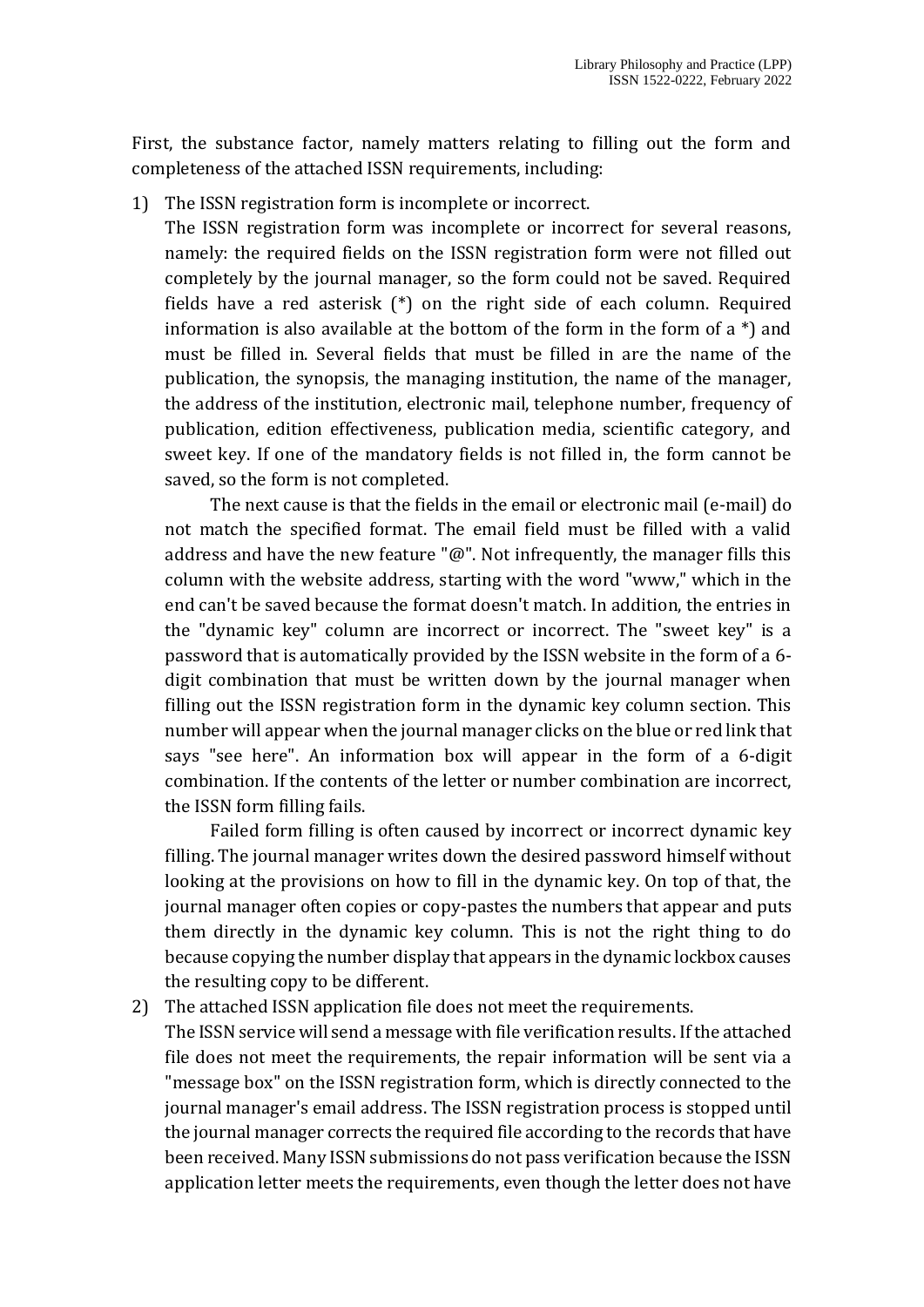First, the substance factor, namely matters relating to filling out the form and completeness of the attached ISSN requirements, including:

1) The ISSN registration form is incomplete or incorrect.

The ISSN registration form was incomplete or incorrect for several reasons, namely: the required fields on the ISSN registration form were not filled out completely by the journal manager, so the form could not be saved. Required fields have a red asterisk (\*) on the right side of each column. Required information is also available at the bottom of the form in the form of a \*) and must be filled in. Several fields that must be filled in are the name of the publication, the synopsis, the managing institution, the name of the manager, the address of the institution, electronic mail, telephone number, frequency of publication, edition effectiveness, publication media, scientific category, and sweet key. If one of the mandatory fields is not filled in, the form cannot be saved, so the form is not completed.

The next cause is that the fields in the email or electronic mail (e-mail) do not match the specified format. The email field must be filled with a valid address and have the new feature " $@$ ". Not infrequently, the manager fills this column with the website address, starting with the word "www," which in the end can't be saved because the format doesn't match. In addition, the entries in the "dynamic key" column are incorrect or incorrect. The "sweet key" is a password that is automatically provided by the ISSN website in the form of a 6 digit combination that must be written down by the journal manager when filling out the ISSN registration form in the dynamic key column section. This number will appear when the journal manager clicks on the blue or red link that says "see here". An information box will appear in the form of a 6-digit combination. If the contents of the letter or number combination are incorrect, the ISSN form filling fails.

Failed form filling is often caused by incorrect or incorrect dynamic key filling. The journal manager writes down the desired password himself without looking at the provisions on how to fill in the dynamic key. On top of that, the journal manager often copies or copy-pastes the numbers that appear and puts them directly in the dynamic key column. This is not the right thing to do because copying the number display that appears in the dynamic lockbox causes the resulting copy to be different.

2) The attached ISSN application file does not meet the requirements.

The ISSN service will send a message with file verification results. If the attached file does not meet the requirements, the repair information will be sent via a "message box" on the ISSN registration form, which is directly connected to the journal manager's email address. The ISSN registration process is stopped until the journal manager corrects the required file according to the records that have been received. Many ISSN submissions do not pass verification because the ISSN application letter meets the requirements, even though the letter does not have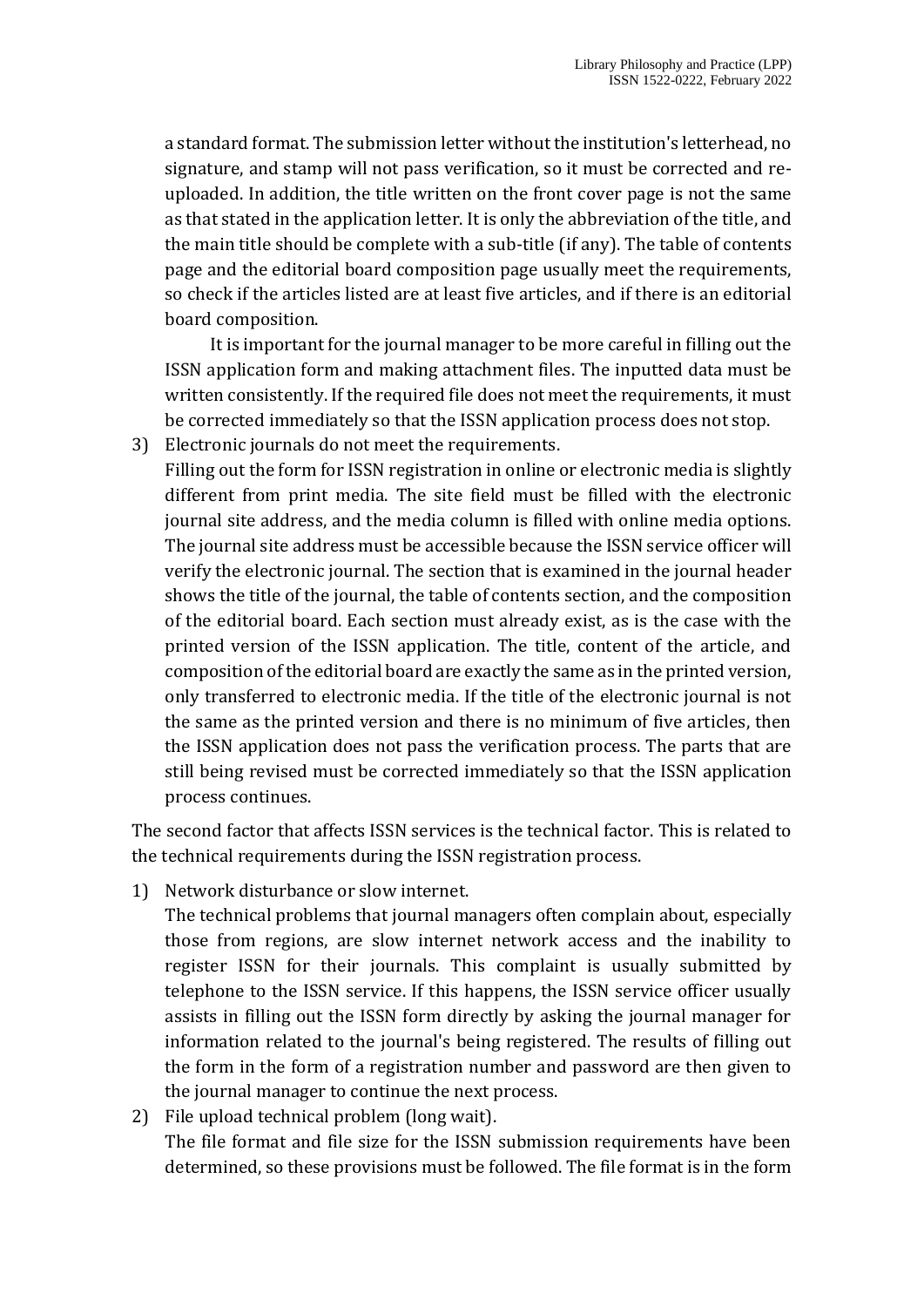a standard format. The submission letter without the institution's letterhead, no signature, and stamp will not pass verification, so it must be corrected and reuploaded. In addition, the title written on the front cover page is not the same as that stated in the application letter. It is only the abbreviation of the title, and the main title should be complete with a sub-title (if any). The table of contents page and the editorial board composition page usually meet the requirements, so check if the articles listed are at least five articles, and if there is an editorial board composition.

It is important for the journal manager to be more careful in filling out the ISSN application form and making attachment files. The inputted data must be written consistently. If the required file does not meet the requirements, it must be corrected immediately so that the ISSN application process does not stop.

- 3) Electronic journals do not meet the requirements.
	- Filling out the form for ISSN registration in online or electronic media is slightly different from print media. The site field must be filled with the electronic journal site address, and the media column is filled with online media options. The journal site address must be accessible because the ISSN service officer will verify the electronic journal. The section that is examined in the journal header shows the title of the journal, the table of contents section, and the composition of the editorial board. Each section must already exist, as is the case with the printed version of the ISSN application. The title, content of the article, and composition of the editorial board are exactly the same as in the printed version, only transferred to electronic media. If the title of the electronic journal is not the same as the printed version and there is no minimum of five articles, then the ISSN application does not pass the verification process. The parts that are still being revised must be corrected immediately so that the ISSN application process continues.

The second factor that affects ISSN services is the technical factor. This is related to the technical requirements during the ISSN registration process.

1) Network disturbance or slow internet.

The technical problems that journal managers often complain about, especially those from regions, are slow internet network access and the inability to register ISSN for their journals. This complaint is usually submitted by telephone to the ISSN service. If this happens, the ISSN service officer usually assists in filling out the ISSN form directly by asking the journal manager for information related to the journal's being registered. The results of filling out the form in the form of a registration number and password are then given to the journal manager to continue the next process.

2) File upload technical problem (long wait). The file format and file size for the ISSN submission requirements have been determined, so these provisions must be followed. The file format is in the form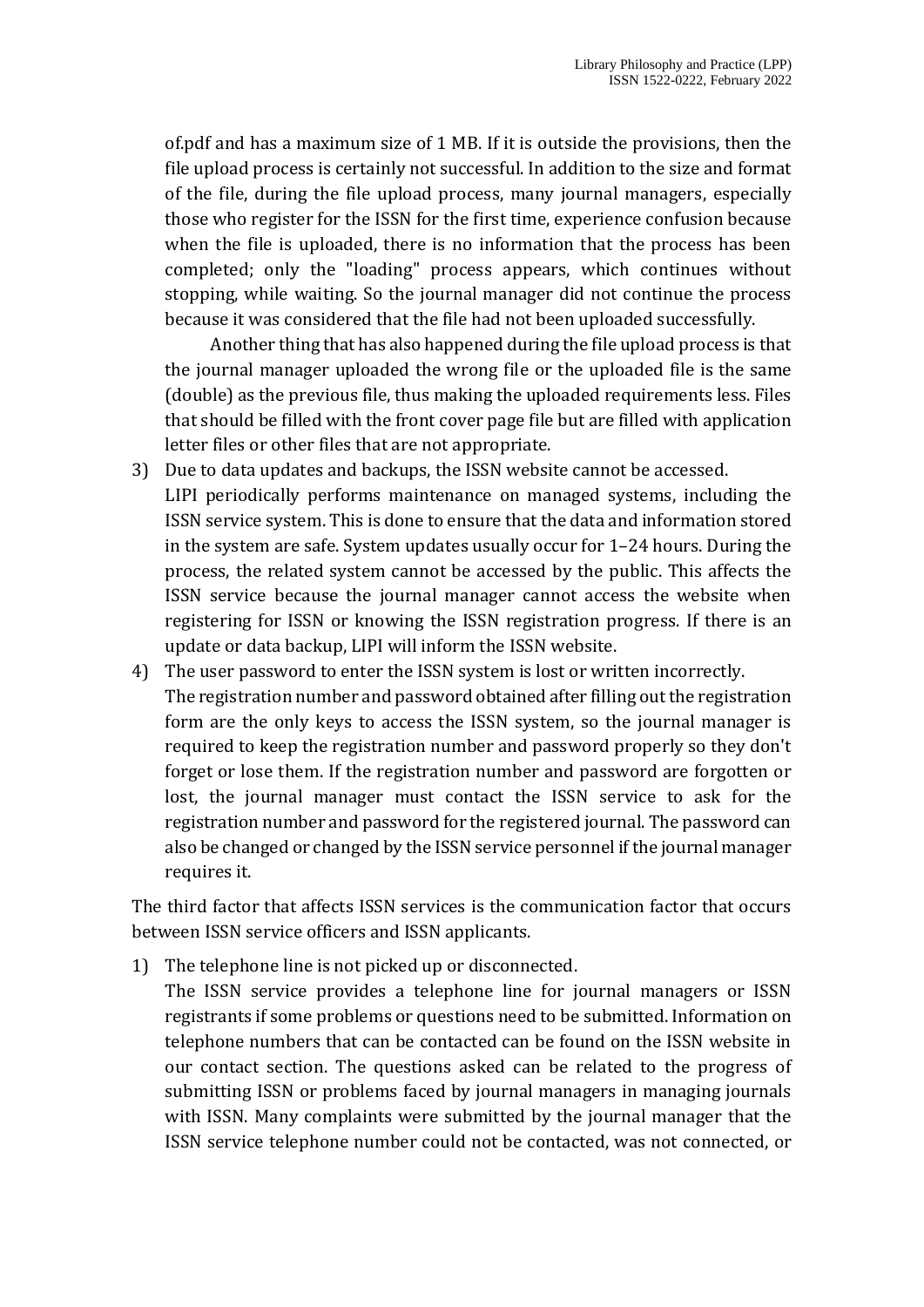of.pdf and has a maximum size of 1 MB. If it is outside the provisions, then the file upload process is certainly not successful. In addition to the size and format of the file, during the file upload process, many journal managers, especially those who register for the ISSN for the first time, experience confusion because when the file is uploaded, there is no information that the process has been completed; only the "loading" process appears, which continues without stopping, while waiting. So the journal manager did not continue the process because it was considered that the file had not been uploaded successfully.

Another thing that has also happened during the file upload process is that the journal manager uploaded the wrong file or the uploaded file is the same (double) as the previous file, thus making the uploaded requirements less. Files that should be filled with the front cover page file but are filled with application letter files or other files that are not appropriate.

- 3) Due to data updates and backups, the ISSN website cannot be accessed. LIPI periodically performs maintenance on managed systems, including the ISSN service system. This is done to ensure that the data and information stored in the system are safe. System updates usually occur for 1–24 hours. During the process, the related system cannot be accessed by the public. This affects the ISSN service because the journal manager cannot access the website when registering for ISSN or knowing the ISSN registration progress. If there is an update or data backup, LIPI will inform the ISSN website.
- 4) The user password to enter the ISSN system is lost or written incorrectly. The registration number and password obtained after filling out the registration form are the only keys to access the ISSN system, so the journal manager is required to keep the registration number and password properly so they don't forget or lose them. If the registration number and password are forgotten or lost, the journal manager must contact the ISSN service to ask for the registration number and password for the registered journal. The password can also be changed or changed by the ISSN service personnel if the journal manager requires it.

The third factor that affects ISSN services is the communication factor that occurs between ISSN service officers and ISSN applicants.

1) The telephone line is not picked up or disconnected.

The ISSN service provides a telephone line for journal managers or ISSN registrants if some problems or questions need to be submitted. Information on telephone numbers that can be contacted can be found on the ISSN website in our contact section. The questions asked can be related to the progress of submitting ISSN or problems faced by journal managers in managing journals with ISSN. Many complaints were submitted by the journal manager that the ISSN service telephone number could not be contacted, was not connected, or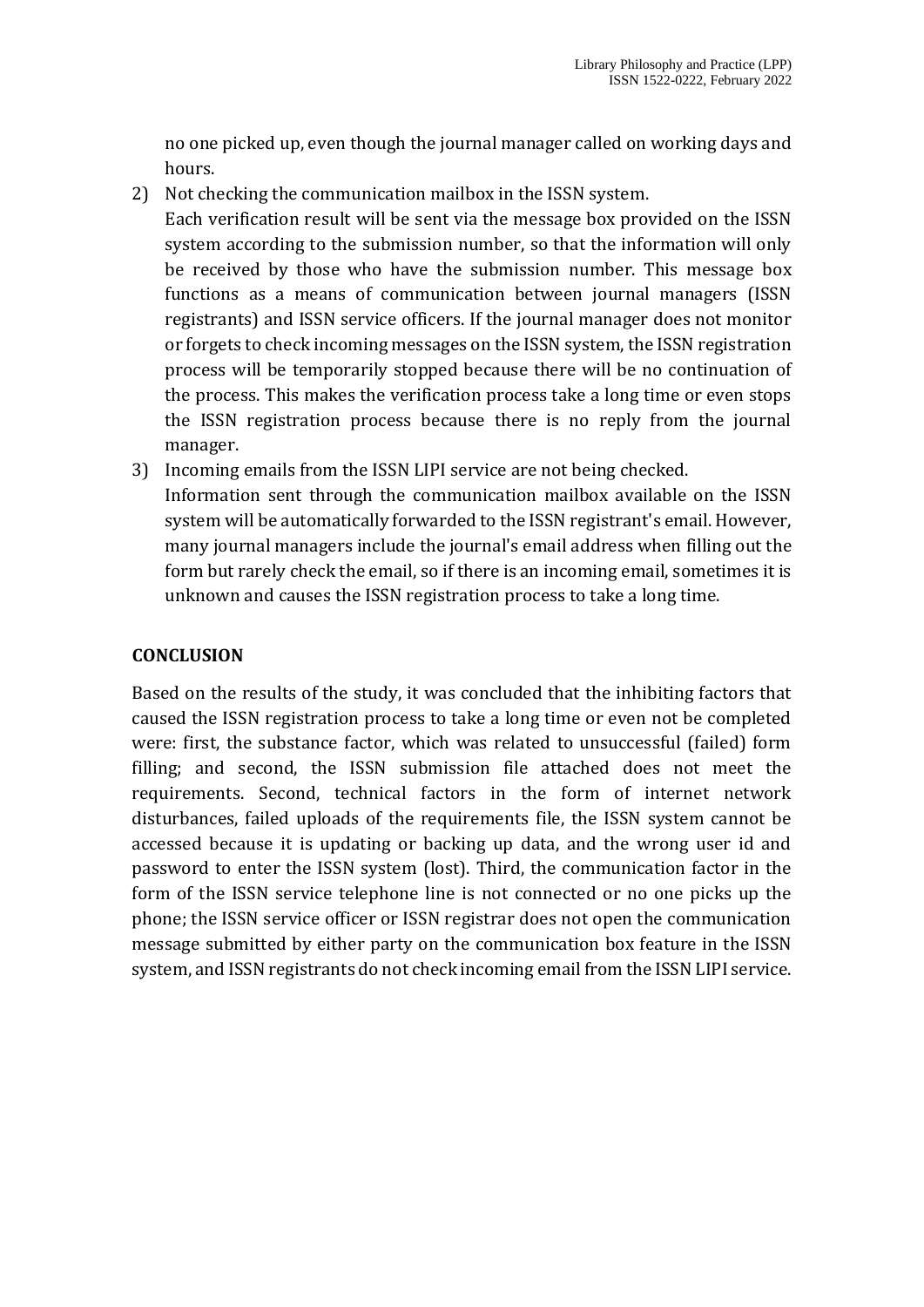no one picked up, even though the journal manager called on working days and hours.

2) Not checking the communication mailbox in the ISSN system.

Each verification result will be sent via the message box provided on the ISSN system according to the submission number, so that the information will only be received by those who have the submission number. This message box functions as a means of communication between journal managers (ISSN registrants) and ISSN service officers. If the journal manager does not monitor or forgets to check incoming messages on the ISSN system, the ISSN registration process will be temporarily stopped because there will be no continuation of the process. This makes the verification process take a long time or even stops the ISSN registration process because there is no reply from the journal manager.

3) Incoming emails from the ISSN LIPI service are not being checked. Information sent through the communication mailbox available on the ISSN system will be automatically forwarded to the ISSN registrant's email. However, many journal managers include the journal's email address when filling out the form but rarely check the email, so if there is an incoming email, sometimes it is unknown and causes the ISSN registration process to take a long time.

### **CONCLUSION**

Based on the results of the study, it was concluded that the inhibiting factors that caused the ISSN registration process to take a long time or even not be completed were: first, the substance factor, which was related to unsuccessful (failed) form filling; and second, the ISSN submission file attached does not meet the requirements. Second, technical factors in the form of internet network disturbances, failed uploads of the requirements file, the ISSN system cannot be accessed because it is updating or backing up data, and the wrong user id and password to enter the ISSN system (lost). Third, the communication factor in the form of the ISSN service telephone line is not connected or no one picks up the phone; the ISSN service officer or ISSN registrar does not open the communication message submitted by either party on the communication box feature in the ISSN system, and ISSN registrants do not check incoming email from the ISSN LIPI service.